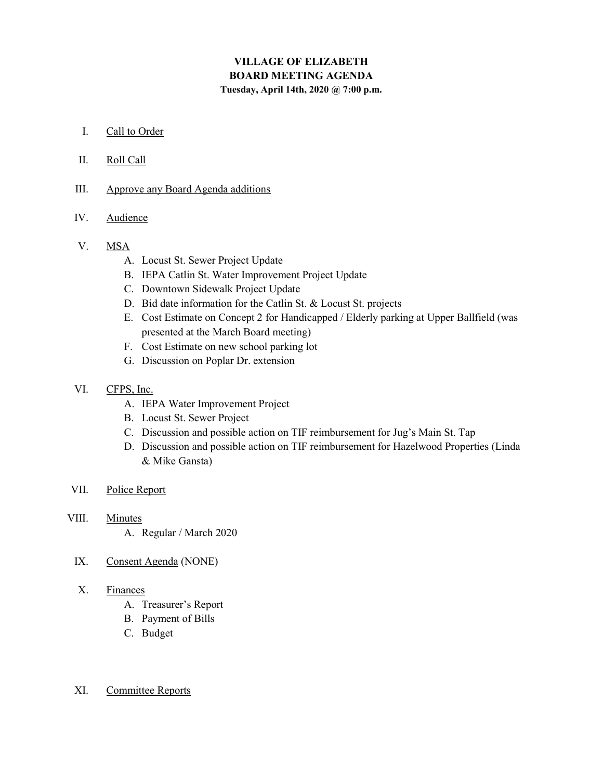# VILLAGE OF ELIZABETH BOARD MEETING AGENDA Tuesday, April 14th, 2020 @ 7:00 p.m.

### I. Call to Order

## II. Roll Call

III. Approve any Board Agenda additions

## IV. Audience

## V. MSA

- A. Locust St. Sewer Project Update
- B. IEPA Catlin St. Water Improvement Project Update
- C. Downtown Sidewalk Project Update
- D. Bid date information for the Catlin St. & Locust St. projects
- E. Cost Estimate on Concept 2 for Handicapped / Elderly parking at Upper Ballfield (was presented at the March Board meeting)
- F. Cost Estimate on new school parking lot
- G. Discussion on Poplar Dr. extension
- VI. CFPS, Inc.
	- A. IEPA Water Improvement Project
	- B. Locust St. Sewer Project
	- C. Discussion and possible action on TIF reimbursement for Jug's Main St. Tap
	- D. Discussion and possible action on TIF reimbursement for Hazelwood Properties (Linda & Mike Gansta)
- VII. Police Report
- VIII. Minutes

A. Regular / March 2020

IX. Consent Agenda (NONE)

#### X. Finances

- A. Treasurer's Report
- B. Payment of Bills
- C. Budget

# XI. Committee Reports